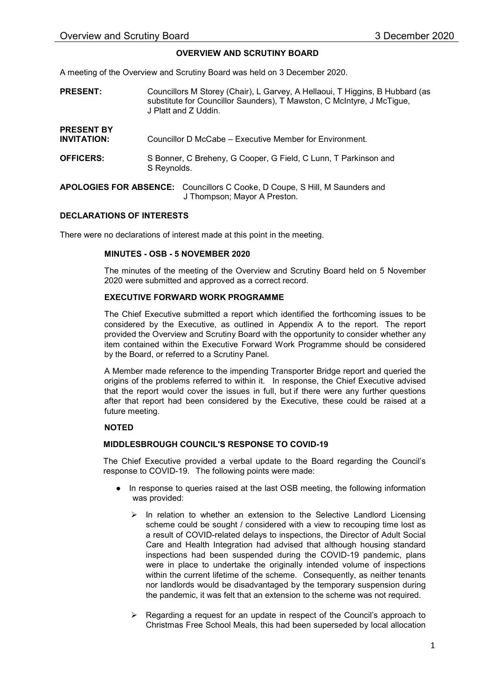## OVERVIEW AND SCRUTINY BOARD

A meeting of the Overview and Scrutiny Board was held on 3 December 2020.

- PRESENT: Councillors M Storey (Chair), L Garvey, A Hellaoui, T Higgins, B Hubbard (as substitute for Councillor Saunders), T Mawston, C McIntyre, J McTigue, J Platt and Z Uddin.
- PRESENT BY INVITATION: OFFICERS: Councillor D McCabe – Executive Member for Environment. S Bonner, C Breheny, G Cooper, G Field, C Lunn, T Parkinson and S Reynolds.
- APOLOGIES FOR ABSENCE: Councillors C Cooke, D Coupe, S Hill, M Saunders and J Thompson; Mayor A Preston.

## DECLARATIONS OF INTERESTS

There were no declarations of interest made at this point in the meeting.

#### MINUTES - OSB - 5 NOVEMBER 2020

The minutes of the meeting of the Overview and Scrutiny Board held on 5 November 2020 were submitted and approved as a correct record.

#### EXECUTIVE FORWARD WORK PROGRAMME

The Chief Executive submitted a report which identified the forthcoming issues to be considered by the Executive, as outlined in Appendix A to the report. The report provided the Overview and Scrutiny Board with the opportunity to consider whether any item contained within the Executive Forward Work Programme should be considered by the Board, or referred to a Scrutiny Panel.

A Member made reference to the impending Transporter Bridge report and queried the origins of the problems referred to within it. In response, the Chief Executive advised that the report would cover the issues in full, but if there were any further questions after that report had been considered by the Executive, these could be raised at a future meeting.

## NOTED

#### MIDDLESBROUGH COUNCIL'S RESPONSE TO COVID-19

The Chief Executive provided a verbal update to the Board regarding the Council's response to COVID-19. The following points were made:

- In response to queries raised at the last OSB meeting, the following information was provided:
	- $\triangleright$  In relation to whether an extension to the Selective Landlord Licensing scheme could be sought / considered with a view to recouping time lost as a result of COVID-related delays to inspections, the Director of Adult Social Care and Health Integration had advised that although housing standard inspections had been suspended during the COVID-19 pandemic, plans were in place to undertake the originally intended volume of inspections within the current lifetime of the scheme. Consequently, as neither tenants nor landlords would be disadvantaged by the temporary suspension during the pandemic, it was felt that an extension to the scheme was not required.
	- $\triangleright$  Regarding a request for an update in respect of the Council's approach to Christmas Free School Meals, this had been superseded by local allocation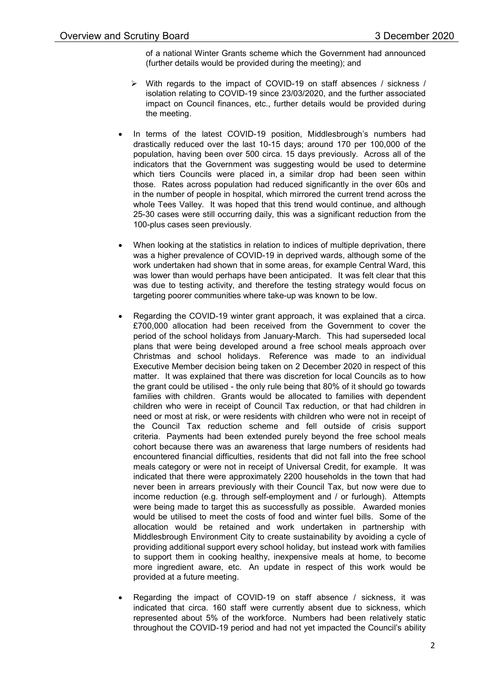of a national Winter Grants scheme which the Government had announced (further details would be provided during the meeting); and

- $\triangleright$  With regards to the impact of COVID-19 on staff absences / sickness / isolation relating to COVID-19 since 23/03/2020, and the further associated impact on Council finances, etc., further details would be provided during the meeting.
- In terms of the latest COVID-19 position, Middlesbrough's numbers had drastically reduced over the last 10-15 days; around 170 per 100,000 of the population, having been over 500 circa. 15 days previously. Across all of the indicators that the Government was suggesting would be used to determine which tiers Councils were placed in, a similar drop had been seen within those. Rates across population had reduced significantly in the over 60s and in the number of people in hospital, which mirrored the current trend across the whole Tees Valley. It was hoped that this trend would continue, and although 25-30 cases were still occurring daily, this was a significant reduction from the 100-plus cases seen previously.
- When looking at the statistics in relation to indices of multiple deprivation, there was a higher prevalence of COVID-19 in deprived wards, although some of the work undertaken had shown that in some areas, for example Central Ward, this was lower than would perhaps have been anticipated. It was felt clear that this was due to testing activity, and therefore the testing strategy would focus on targeting poorer communities where take-up was known to be low.
- Regarding the COVID-19 winter grant approach, it was explained that a circa. £700,000 allocation had been received from the Government to cover the period of the school holidays from January-March. This had superseded local plans that were being developed around a free school meals approach over Christmas and school holidays. Reference was made to an individual Executive Member decision being taken on 2 December 2020 in respect of this matter. It was explained that there was discretion for local Councils as to how the grant could be utilised - the only rule being that 80% of it should go towards families with children. Grants would be allocated to families with dependent children who were in receipt of Council Tax reduction, or that had children in need or most at risk, or were residents with children who were not in receipt of the Council Tax reduction scheme and fell outside of crisis support criteria. Payments had been extended purely beyond the free school meals cohort because there was an awareness that large numbers of residents had encountered financial difficulties, residents that did not fall into the free school meals category or were not in receipt of Universal Credit, for example. It was indicated that there were approximately 2200 households in the town that had never been in arrears previously with their Council Tax, but now were due to income reduction (e.g. through self-employment and / or furlough). Attempts were being made to target this as successfully as possible. Awarded monies would be utilised to meet the costs of food and winter fuel bills. Some of the allocation would be retained and work undertaken in partnership with Middlesbrough Environment City to create sustainability by avoiding a cycle of providing additional support every school holiday, but instead work with families to support them in cooking healthy, inexpensive meals at home, to become more ingredient aware, etc. An update in respect of this work would be provided at a future meeting.
- Regarding the impact of COVID-19 on staff absence / sickness, it was indicated that circa. 160 staff were currently absent due to sickness, which represented about 5% of the workforce. Numbers had been relatively static throughout the COVID-19 period and had not yet impacted the Council's ability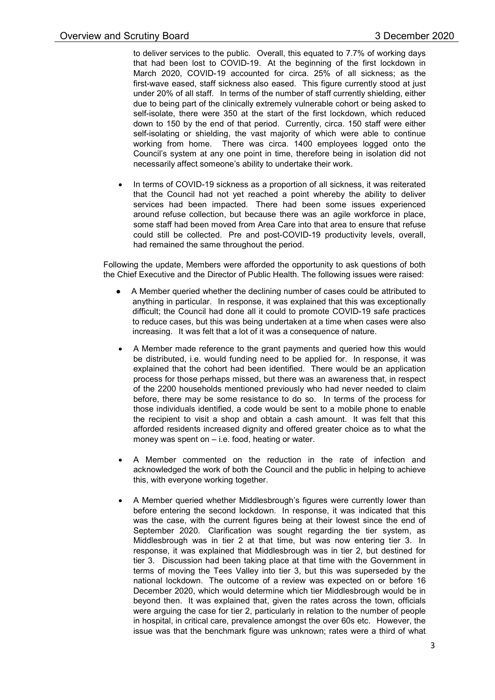to deliver services to the public. Overall, this equated to 7.7% of working days that had been lost to COVID-19. At the beginning of the first lockdown in March 2020, COVID-19 accounted for circa. 25% of all sickness; as the first-wave eased, staff sickness also eased. This figure currently stood at just under 20% of all staff. In terms of the number of staff currently shielding, either due to being part of the clinically extremely vulnerable cohort or being asked to self-isolate, there were 350 at the start of the first lockdown, which reduced down to 150 by the end of that period. Currently, circa. 150 staff were either self-isolating or shielding, the vast majority of which were able to continue working from home. There was circa. 1400 employees logged onto the Council's system at any one point in time, therefore being in isolation did not necessarily affect someone's ability to undertake their work.

 In terms of COVID-19 sickness as a proportion of all sickness, it was reiterated that the Council had not yet reached a point whereby the ability to deliver services had been impacted. There had been some issues experienced around refuse collection, but because there was an agile workforce in place, some staff had been moved from Area Care into that area to ensure that refuse could still be collected. Pre and post-COVID-19 productivity levels, overall, had remained the same throughout the period.

Following the update, Members were afforded the opportunity to ask questions of both the Chief Executive and the Director of Public Health. The following issues were raised:

- A Member queried whether the declining number of cases could be attributed to anything in particular. In response, it was explained that this was exceptionally difficult; the Council had done all it could to promote COVID-19 safe practices to reduce cases, but this was being undertaken at a time when cases were also increasing. It was felt that a lot of it was a consequence of nature.
- A Member made reference to the grant payments and queried how this would be distributed, i.e. would funding need to be applied for. In response, it was explained that the cohort had been identified. There would be an application process for those perhaps missed, but there was an awareness that, in respect of the 2200 households mentioned previously who had never needed to claim before, there may be some resistance to do so. In terms of the process for those individuals identified, a code would be sent to a mobile phone to enable the recipient to visit a shop and obtain a cash amount. It was felt that this afforded residents increased dignity and offered greater choice as to what the money was spent on – i.e. food, heating or water.
- A Member commented on the reduction in the rate of infection and acknowledged the work of both the Council and the public in helping to achieve this, with everyone working together.
- A Member queried whether Middlesbrough's figures were currently lower than before entering the second lockdown. In response, it was indicated that this was the case, with the current figures being at their lowest since the end of September 2020. Clarification was sought regarding the tier system, as Middlesbrough was in tier 2 at that time, but was now entering tier 3. In response, it was explained that Middlesbrough was in tier 2, but destined for tier 3. Discussion had been taking place at that time with the Government in terms of moving the Tees Valley into tier 3, but this was superseded by the national lockdown. The outcome of a review was expected on or before 16 December 2020, which would determine which tier Middlesbrough would be in beyond then. It was explained that, given the rates across the town, officials were arguing the case for tier 2, particularly in relation to the number of people in hospital, in critical care, prevalence amongst the over 60s etc. However, the issue was that the benchmark figure was unknown; rates were a third of what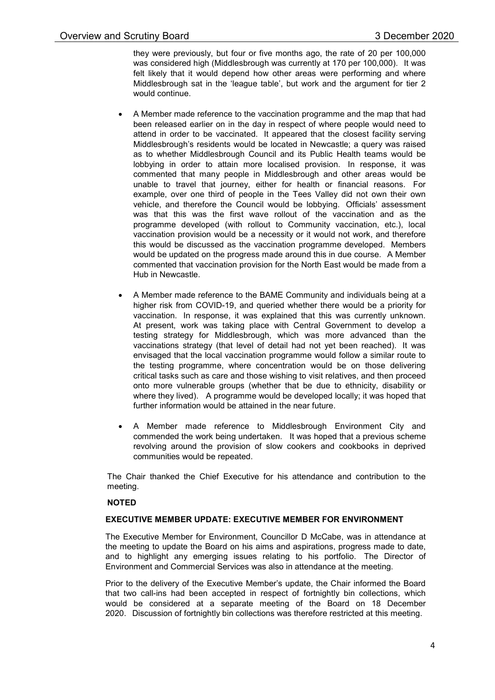they were previously, but four or five months ago, the rate of 20 per 100,000 was considered high (Middlesbrough was currently at 170 per 100,000). It was felt likely that it would depend how other areas were performing and where Middlesbrough sat in the 'league table', but work and the argument for tier 2 would continue.

- A Member made reference to the vaccination programme and the map that had been released earlier on in the day in respect of where people would need to attend in order to be vaccinated. It appeared that the closest facility serving Middlesbrough's residents would be located in Newcastle; a query was raised as to whether Middlesbrough Council and its Public Health teams would be lobbying in order to attain more localised provision. In response, it was commented that many people in Middlesbrough and other areas would be unable to travel that journey, either for health or financial reasons. For example, over one third of people in the Tees Valley did not own their own vehicle, and therefore the Council would be lobbying. Officials' assessment was that this was the first wave rollout of the vaccination and as the programme developed (with rollout to Community vaccination, etc.), local vaccination provision would be a necessity or it would not work, and therefore this would be discussed as the vaccination programme developed. Members would be updated on the progress made around this in due course. A Member commented that vaccination provision for the North East would be made from a Hub in Newcastle.
- A Member made reference to the BAME Community and individuals being at a higher risk from COVID-19, and queried whether there would be a priority for vaccination. In response, it was explained that this was currently unknown. At present, work was taking place with Central Government to develop a testing strategy for Middlesbrough, which was more advanced than the vaccinations strategy (that level of detail had not yet been reached). It was envisaged that the local vaccination programme would follow a similar route to the testing programme, where concentration would be on those delivering critical tasks such as care and those wishing to visit relatives, and then proceed onto more vulnerable groups (whether that be due to ethnicity, disability or where they lived). A programme would be developed locally; it was hoped that further information would be attained in the near future.
- A Member made reference to Middlesbrough Environment City and commended the work being undertaken. It was hoped that a previous scheme revolving around the provision of slow cookers and cookbooks in deprived communities would be repeated.

The Chair thanked the Chief Executive for his attendance and contribution to the meeting.

## NOTED

#### EXECUTIVE MEMBER UPDATE: EXECUTIVE MEMBER FOR ENVIRONMENT

The Executive Member for Environment, Councillor D McCabe, was in attendance at the meeting to update the Board on his aims and aspirations, progress made to date, and to highlight any emerging issues relating to his portfolio. The Director of Environment and Commercial Services was also in attendance at the meeting.

Prior to the delivery of the Executive Member's update, the Chair informed the Board that two call-ins had been accepted in respect of fortnightly bin collections, which would be considered at a separate meeting of the Board on 18 December 2020. Discussion of fortnightly bin collections was therefore restricted at this meeting.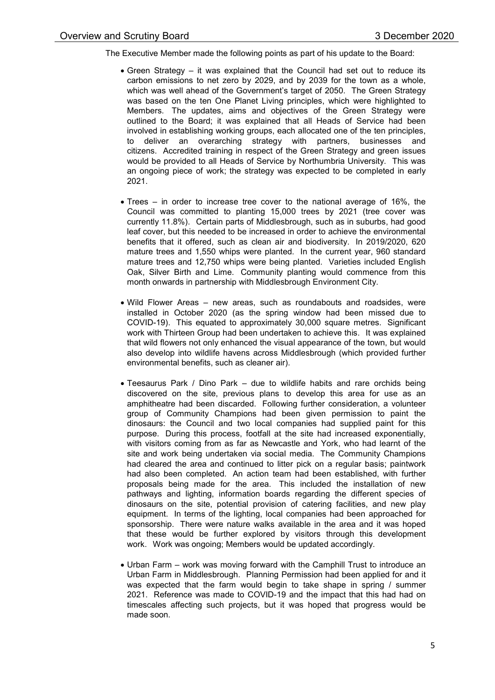The Executive Member made the following points as part of his update to the Board:

- Green Strategy it was explained that the Council had set out to reduce its carbon emissions to net zero by 2029, and by 2039 for the town as a whole, which was well ahead of the Government's target of 2050. The Green Strategy was based on the ten One Planet Living principles, which were highlighted to Members. The updates, aims and objectives of the Green Strategy were outlined to the Board; it was explained that all Heads of Service had been involved in establishing working groups, each allocated one of the ten principles, to deliver an overarching strategy with partners, businesses and citizens. Accredited training in respect of the Green Strategy and green issues would be provided to all Heads of Service by Northumbria University. This was an ongoing piece of work; the strategy was expected to be completed in early 2021.
- Trees in order to increase tree cover to the national average of 16%, the Council was committed to planting 15,000 trees by 2021 (tree cover was currently 11.8%). Certain parts of Middlesbrough, such as in suburbs, had good leaf cover, but this needed to be increased in order to achieve the environmental benefits that it offered, such as clean air and biodiversity. In 2019/2020, 620 mature trees and 1,550 whips were planted. In the current year, 960 standard mature trees and 12,750 whips were being planted. Varieties included English Oak, Silver Birth and Lime. Community planting would commence from this month onwards in partnership with Middlesbrough Environment City.
- Wild Flower Areas new areas, such as roundabouts and roadsides, were installed in October 2020 (as the spring window had been missed due to COVID-19). This equated to approximately 30,000 square metres. Significant work with Thirteen Group had been undertaken to achieve this. It was explained that wild flowers not only enhanced the visual appearance of the town, but would also develop into wildlife havens across Middlesbrough (which provided further environmental benefits, such as cleaner air).
- Teesaurus Park / Dino Park due to wildlife habits and rare orchids being discovered on the site, previous plans to develop this area for use as an amphitheatre had been discarded. Following further consideration, a volunteer group of Community Champions had been given permission to paint the dinosaurs: the Council and two local companies had supplied paint for this purpose. During this process, footfall at the site had increased exponentially, with visitors coming from as far as Newcastle and York, who had learnt of the site and work being undertaken via social media. The Community Champions had cleared the area and continued to litter pick on a regular basis; paintwork had also been completed. An action team had been established, with further proposals being made for the area. This included the installation of new pathways and lighting, information boards regarding the different species of dinosaurs on the site, potential provision of catering facilities, and new play equipment. In terms of the lighting, local companies had been approached for sponsorship. There were nature walks available in the area and it was hoped that these would be further explored by visitors through this development work. Work was ongoing; Members would be updated accordingly.
- Urban Farm work was moving forward with the Camphill Trust to introduce an Urban Farm in Middlesbrough. Planning Permission had been applied for and it was expected that the farm would begin to take shape in spring / summer 2021. Reference was made to COVID-19 and the impact that this had had on timescales affecting such projects, but it was hoped that progress would be made soon.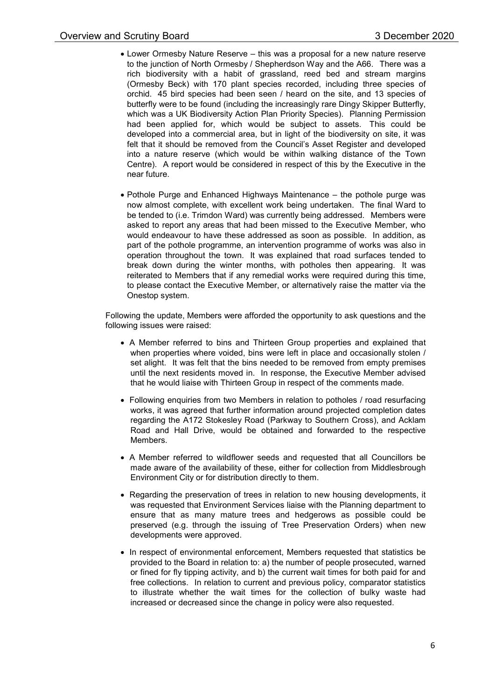- Lower Ormesby Nature Reserve this was a proposal for a new nature reserve to the junction of North Ormesby / Shepherdson Way and the A66. There was a rich biodiversity with a habit of grassland, reed bed and stream margins (Ormesby Beck) with 170 plant species recorded, including three species of orchid. 45 bird species had been seen / heard on the site, and 13 species of butterfly were to be found (including the increasingly rare Dingy Skipper Butterfly, which was a UK Biodiversity Action Plan Priority Species). Planning Permission had been applied for, which would be subject to assets. This could be developed into a commercial area, but in light of the biodiversity on site, it was felt that it should be removed from the Council's Asset Register and developed into a nature reserve (which would be within walking distance of the Town Centre). A report would be considered in respect of this by the Executive in the near future.
- Pothole Purge and Enhanced Highways Maintenance the pothole purge was now almost complete, with excellent work being undertaken. The final Ward to be tended to (i.e. Trimdon Ward) was currently being addressed. Members were asked to report any areas that had been missed to the Executive Member, who would endeavour to have these addressed as soon as possible. In addition, as part of the pothole programme, an intervention programme of works was also in operation throughout the town. It was explained that road surfaces tended to break down during the winter months, with potholes then appearing. It was reiterated to Members that if any remedial works were required during this time, to please contact the Executive Member, or alternatively raise the matter via the Onestop system.

Following the update, Members were afforded the opportunity to ask questions and the following issues were raised:

- A Member referred to bins and Thirteen Group properties and explained that when properties where voided, bins were left in place and occasionally stolen / set alight. It was felt that the bins needed to be removed from empty premises until the next residents moved in. In response, the Executive Member advised that he would liaise with Thirteen Group in respect of the comments made.
- Following enquiries from two Members in relation to potholes / road resurfacing works, it was agreed that further information around projected completion dates regarding the A172 Stokesley Road (Parkway to Southern Cross), and Acklam Road and Hall Drive, would be obtained and forwarded to the respective Members.
- A Member referred to wildflower seeds and requested that all Councillors be made aware of the availability of these, either for collection from Middlesbrough Environment City or for distribution directly to them.
- Regarding the preservation of trees in relation to new housing developments, it was requested that Environment Services liaise with the Planning department to ensure that as many mature trees and hedgerows as possible could be preserved (e.g. through the issuing of Tree Preservation Orders) when new developments were approved.
- In respect of environmental enforcement, Members requested that statistics be provided to the Board in relation to: a) the number of people prosecuted, warned or fined for fly tipping activity, and b) the current wait times for both paid for and free collections. In relation to current and previous policy, comparator statistics to illustrate whether the wait times for the collection of bulky waste had increased or decreased since the change in policy were also requested.